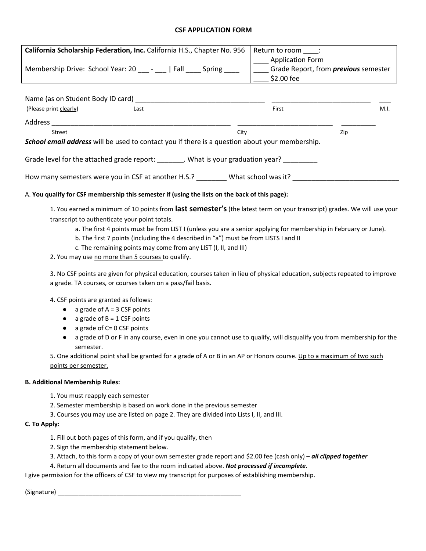#### **CSF APPLICATION FORM**

| California Scholarship Federation, Inc. California H.S., Chapter No. 956<br>Membership Drive: School Year: 20 ____ - ___   Fall ____ Spring ____ | Return to room :<br><b>Application Form</b><br>Grade Report, from <i>previous</i> semester<br>\$2.00 fee |      |  |  |  |  |  |  |
|--------------------------------------------------------------------------------------------------------------------------------------------------|----------------------------------------------------------------------------------------------------------|------|--|--|--|--|--|--|
| Name (as on Student Body ID card)<br>(Please print clearly)<br>Last                                                                              | First                                                                                                    | M.I. |  |  |  |  |  |  |
| Address                                                                                                                                          |                                                                                                          |      |  |  |  |  |  |  |
| Street<br>City<br><b>School email address</b> will be used to contact you if there is a question about your membership.                          |                                                                                                          | Zip  |  |  |  |  |  |  |
|                                                                                                                                                  |                                                                                                          |      |  |  |  |  |  |  |
| Grade level for the attached grade report: What is your graduation year?                                                                         |                                                                                                          |      |  |  |  |  |  |  |
| How many semesters were you in CSF at another H.S.? What school was it?                                                                          |                                                                                                          |      |  |  |  |  |  |  |

#### A. **You qualify for CSF membership this semester if (using the lists on the back of this page):**

1. You earned <sup>a</sup> minimum of <sup>10</sup> points from **last semester's** (the latest term on your transcript) grades. We will use your transcript to authenticate your point totals.

- a. The first 4 points must be from LIST I (unless you are a senior applying for membership in February or June).
- b. The first 7 points (including the 4 described in "a") must be from LISTS I and II
- c. The remaining points may come from any LIST (I, II, and III)
- 2. You may use no more than 5 courses to qualify.

3. No CSF points are given for physical education, courses taken in lieu of physical education, subjects repeated to improve a grade. TA courses, or courses taken on a pass/fail basis.

4. CSF points are granted as follows:

- a grade of  $A = 3$  CSF points
- a grade of  $B = 1$  CSF points
- a grade of C= 0 CSF points
- a grade of D or F in any course, even in one you cannot use to qualify, will disqualify you from membership for the semester.

5. One additional point shall be granted for a grade of A or B in an AP or Honors course. Up to a maximum of two such points per semester.

#### **B. Additional Membership Rules:**

- 1. You must reapply each semester
- 2. Semester membership is based on work done in the previous semester
- 3. Courses you may use are listed on page 2. They are divided into Lists I, II, and III.

#### **C. To Apply:**

- 1. Fill out both pages of this form, and if you qualify, then
- 2. Sign the membership statement below.
- 3. Attach, to this form a copy of your own semester grade report and \$2.00 fee (cash only) *all clipped together*
- 4. Return all documents and fee to the room indicated above. *Not processed if incomplete*.

I give permission for the officers of CSF to view my transcript for purposes of establishing membership.

(Signature) \_\_\_\_\_\_\_\_\_\_\_\_\_\_\_\_\_\_\_\_\_\_\_\_\_\_\_\_\_\_\_\_\_\_\_\_\_\_\_\_\_\_\_\_\_\_\_\_\_\_\_\_\_